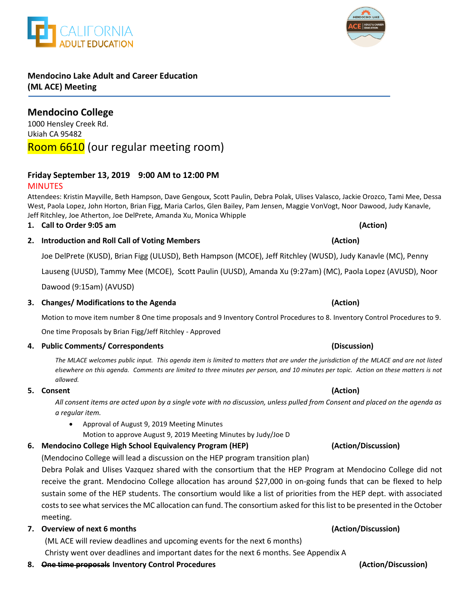# **Mendocino Lake Adult and Career Education (ML ACE) Meeting**

**Mendocino College**  1000 Hensley Creek Rd. Ukiah CA 95482 Room 6610 (our regular meeting room)

# **Friday September 13, 2019 9:00 AM to 12:00 PM**

# MINUTES

Attendees: Kristin Mayville, Beth Hampson, Dave Gengoux, Scott Paulin, Debra Polak, Ulises Valasco, Jackie Orozco, Tami Mee, Dessa West, Paola Lopez, John Horton, Brian Figg, Maria Carlos, Glen Bailey, Pam Jensen, Maggie VonVogt, Noor Dawood, Judy Kanavle, Jeff Ritchley, Joe Atherton, Joe DelPrete, Amanda Xu, Monica Whipple

# **1. Call to Order 9:05 am (Action)**

# **2. Introduction and Roll Call of Voting Members (Action)**

Joe DelPrete (KUSD), Brian Figg (ULUSD), Beth Hampson (MCOE), Jeff Ritchley (WUSD), Judy Kanavle (MC), Penny

Lauseng (UUSD), Tammy Mee (MCOE), Scott Paulin (UUSD), Amanda Xu (9:27am) (MC), Paola Lopez (AVUSD), Noor

Dawood (9:15am) (AVUSD)

### **3. Changes/ Modifications to the Agenda (Action)**

Motion to move item number 8 One time proposals and 9 Inventory Control Procedures to 8. Inventory Control Procedures to 9.

One time Proposals by Brian Figg/Jeff Ritchley - Approved

## **4. Public Comments/ Correspondents (Discussion)**

*The MLACE welcomes public input. This agenda item is limited to matters that are under the jurisdiction of the MLACE and are not listed elsewhere on this agenda. Comments are limited to three minutes per person, and 10 minutes per topic. Action on these matters is not allowed.*

## **5. Consent (Action)**

*All consent items are acted upon by a single vote with no discussion, unless pulled from Consent and placed on the agenda as a regular item.* 

 Approval of August 9, 2019 Meeting Minutes Motion to approve August 9, 2019 Meeting Minutes by Judy/Joe D

# **6. Mendocino College High School Equivalency Program (HEP) (Action/Discussion)**

(Mendocino College will lead a discussion on the HEP program transition plan)

Debra Polak and Ulises Vazquez shared with the consortium that the HEP Program at Mendocino College did not receive the grant. Mendocino College allocation has around \$27,000 in on-going funds that can be flexed to help sustain some of the HEP students. The consortium would like a list of priorities from the HEP dept. with associated costs to see what services the MC allocation can fund. The consortium asked for this list to be presented in the October meeting.

## **7. Overview of next 6 months (Action/Discussion)**

(ML ACE will review deadlines and upcoming events for the next 6 months) Christy went over deadlines and important dates for the next 6 months. See Appendix A

**8. One time proposals Inventory Control Procedures (Action/Discussion)**



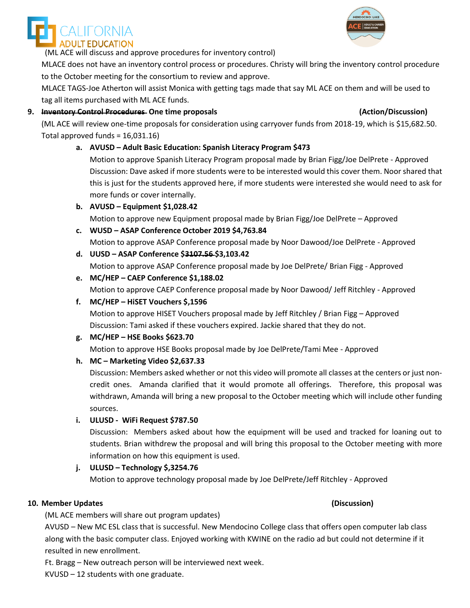

(ML ACE will discuss and approve procedures for inventory control)

MLACE does not have an inventory control process or procedures. Christy will bring the inventory control procedure to the October meeting for the consortium to review and approve.

MLACE TAGS-Joe Atherton will assist Monica with getting tags made that say ML ACE on them and will be used to tag all items purchased with ML ACE funds.

## **9. Inventory Control Procedures One time proposals (Action/Discussion)**

(ML ACE will review one-time proposals for consideration using carryover funds from 2018-19, which is \$15,682.50. Total approved funds = 16,031.16)

## **a. AVUSD – Adult Basic Education: Spanish Literacy Program \$473**

Motion to approve Spanish Literacy Program proposal made by Brian Figg/Joe DelPrete - Approved Discussion: Dave asked if more students were to be interested would this cover them. Noor shared that this is just for the students approved here, if more students were interested she would need to ask for more funds or cover internally.

### **b. AVUSD – Equipment \$1,028.42**

Motion to approve new Equipment proposal made by Brian Figg/Joe DelPrete – Approved

- **c. WUSD – ASAP Conference October 2019 \$4,763.84** Motion to approve ASAP Conference proposal made by Noor Dawood/Joe DelPrete - Approved
- **d. UUSD – ASAP Conference \$3107.56 \$3,103.42** Motion to approve ASAP Conference proposal made by Joe DelPrete/ Brian Figg - Approved
- **e. MC/HEP – CAEP Conference \$1,188.02** Motion to approve CAEP Conference proposal made by Noor Dawood/ Jeff Ritchley - Approved

## **f. MC/HEP – HiSET Vouchers \$,1596**

Motion to approve HISET Vouchers proposal made by Jeff Ritchley / Brian Figg – Approved Discussion: Tami asked if these vouchers expired. Jackie shared that they do not.

### **g. MC/HEP – HSE Books \$623.70**

Motion to approve HSE Books proposal made by Joe DelPrete/Tami Mee - Approved

## **h. MC – Marketing Video \$2,637.33**

Discussion: Members asked whether or not this video will promote all classes at the centers or just noncredit ones. Amanda clarified that it would promote all offerings. Therefore, this proposal was withdrawn, Amanda will bring a new proposal to the October meeting which will include other funding sources.

### **i. ULUSD - WiFi Request \$787.50**

Discussion: Members asked about how the equipment will be used and tracked for loaning out to students. Brian withdrew the proposal and will bring this proposal to the October meeting with more information on how this equipment is used.

## **j. ULUSD – Technology \$,3254.76**

Motion to approve technology proposal made by Joe DelPrete/Jeff Ritchley - Approved

### **10. Member Updates (Discussion)**

(ML ACE members will share out program updates)

AVUSD – New MC ESL class that is successful. New Mendocino College class that offers open computer lab class along with the basic computer class. Enjoyed working with KWINE on the radio ad but could not determine if it resulted in new enrollment.

Ft. Bragg – New outreach person will be interviewed next week.

KVUSD – 12 students with one graduate.